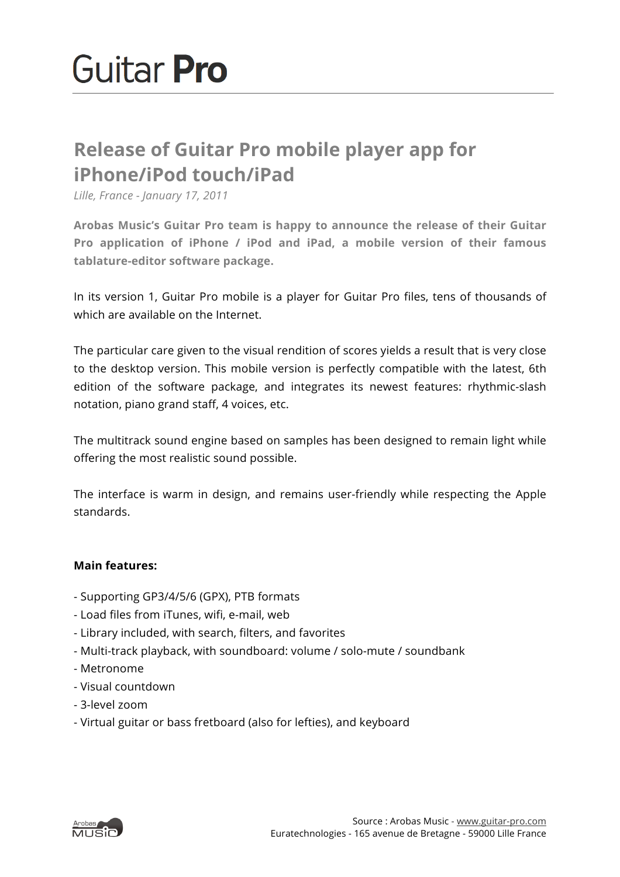## **Release of Guitar Pro mobile player app for iPhone/iPod touch/iPad**

*Lille, France - January 17, 2011*

**Arobas Music's Guitar Pro team is happy to announce the release of their Guitar Pro application of iPhone / iPod and iPad, a mobile version of their famous tablature-editor software package.**

In its version 1, Guitar Pro mobile is a player for Guitar Pro files, tens of thousands of which are available on the Internet.

The particular care given to the visual rendition of scores yields a result that is very close to the desktop version. This mobile version is perfectly compatible with the latest, 6th edition of the software package, and integrates its newest features: rhythmic-slash notation, piano grand staff, 4 voices, etc.

The multitrack sound engine based on samples has been designed to remain light while offering the most realistic sound possible.

The interface is warm in design, and remains user-friendly while respecting the Apple standards.

## **Main features:**

- Supporting GP3/4/5/6 (GPX), PTB formats
- Load files from iTunes, wifi, e-mail, web
- Library included, with search, filters, and favorites
- Multi-track playback, with soundboard: volume / solo-mute / soundbank
- Metronome
- Visual countdown
- 3-level zoom
- Virtual guitar or bass fretboard (also for lefties), and keyboard